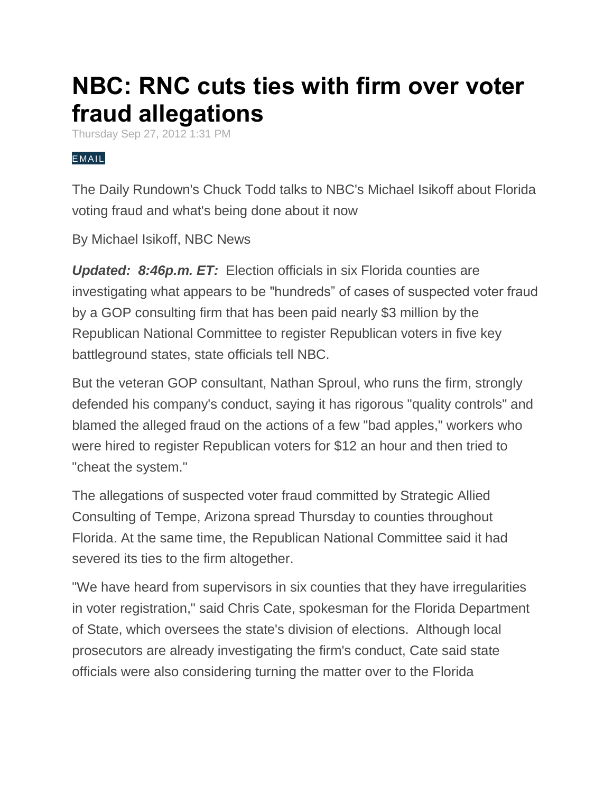## **NBC: RNC cuts ties with firm over voter fraud allegations**

Thursday Sep 27, 2012 1:31 PM

## [E MAIL](mailto:?&subject=RNC%20cuts%20ties%20with%20firm%20over%20voter%20fraud%20allegations&body=%0d%0A%0d%0Avia%20RNC%20cuts%20ties%20with%20firm%20over%20voter%20fraud%20allegations%20-%20First%20Read%20Discussions%0d%0A%0d%0Ahttp://firstread.nbcnews.com/_news/2012/09/27/14126789-rnc-cuts-ties-with-firm-over-voter-fraud-allegations?lite%0d%0A%0d%0Anbcnews.com)

The Daily Rundown's Chuck Todd talks to NBC's Michael Isikoff about Florida voting fraud and what's being done about it now

By Michael Isikoff, NBC News

*Updated: 8:46p.m. ET:* Election officials in six Florida counties are investigating what appears to be "hundreds" of cases of suspected voter fraud by a GOP consulting firm that has been paid nearly \$3 million by the Republican National Committee to register Republican voters in five key battleground states, state officials tell NBC.

But the veteran GOP consultant, Nathan Sproul, who runs the firm, strongly defended his company's conduct, saying it has rigorous "quality controls" and blamed the alleged fraud on the actions of a few "bad apples," workers who were hired to register Republican voters for \$12 an hour and then tried to "cheat the system."

The allegations of suspected voter fraud committed by Strategic Allied Consulting of Tempe, Arizona spread Thursday to counties throughout Florida. At the same time, the Republican National Committee said it had severed its ties to the firm altogether.

"We have heard from supervisors in six counties that they have irregularities in voter registration," said Chris Cate, spokesman for the Florida Department of State, which oversees the state's division of elections. Although local prosecutors are already investigating the firm's conduct, Cate said state officials were also considering turning the matter over to the Florida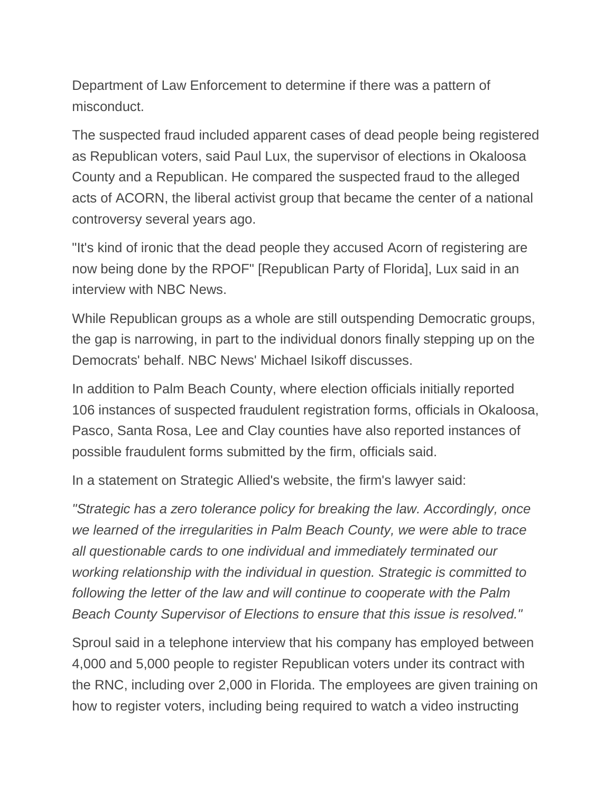Department of Law Enforcement to determine if there was a pattern of misconduct.

The suspected fraud included apparent cases of dead people being registered as Republican voters, said Paul Lux, the supervisor of elections in Okaloosa County and a Republican. He compared the suspected fraud to the alleged acts of ACORN, the liberal activist group that became the center of a national controversy several years ago.

"It's kind of ironic that the dead people they accused Acorn of registering are now being done by the RPOF" [Republican Party of Florida], Lux said in an interview with NBC News.

While Republican groups as a whole are still outspending Democratic groups, the gap is narrowing, in part to the individual donors finally stepping up on the Democrats' behalf. NBC News' Michael Isikoff discusses.

In addition to Palm Beach County, where election officials initially reported 106 instances of suspected fraudulent registration forms, officials in Okaloosa, Pasco, Santa Rosa, Lee and Clay counties have also reported instances of possible fraudulent forms submitted by the firm, officials said.

In a statement on Strategic Allied's website, the firm's lawyer said:

*"Strategic has a zero tolerance policy for breaking the law. Accordingly, once we learned of the irregularities in Palm Beach County, we were able to trace all questionable cards to one individual and immediately terminated our working relationship with the individual in question. Strategic is committed to following the letter of the law and will continue to cooperate with the Palm Beach County Supervisor of Elections to ensure that this issue is resolved."*

Sproul said in a telephone interview that his company has employed between 4,000 and 5,000 people to register Republican voters under its contract with the RNC, including over 2,000 in Florida. The employees are given training on how to register voters, including being required to watch a video instructing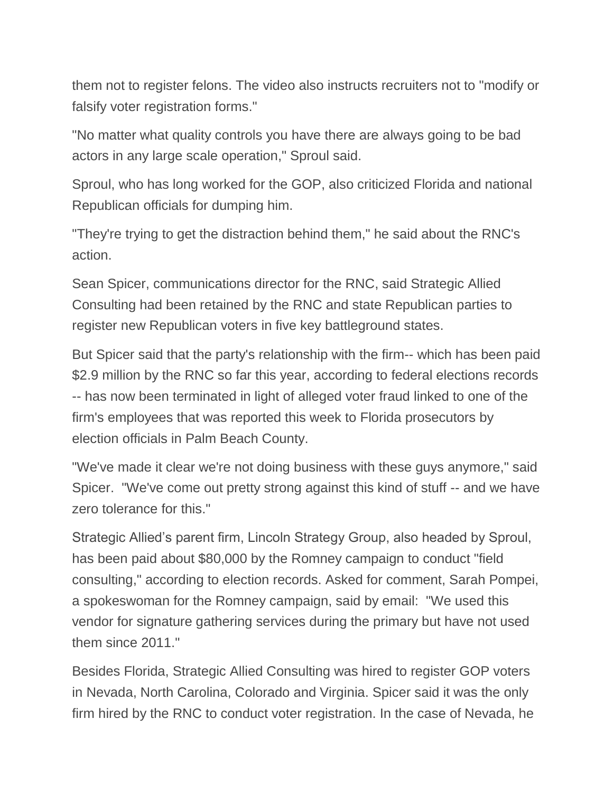them not to register felons. The video also instructs recruiters not to "modify or falsify voter registration forms."

"No matter what quality controls you have there are always going to be bad actors in any large scale operation," Sproul said.

Sproul, who has long worked for the GOP, also criticized Florida and national Republican officials for dumping him.

"They're trying to get the distraction behind them," he said about the RNC's action.

Sean Spicer, communications director for the RNC, said Strategic Allied Consulting had been retained by the RNC and state Republican parties to register new Republican voters in five key battleground states.

But Spicer said that the party's relationship with the firm-- which has been paid \$2.9 million by the RNC so far this year, according to federal elections records -- has now been terminated in light of alleged voter fraud linked to one of the firm's employees that was reported this week to Florida prosecutors by election officials in Palm Beach County.

"We've made it clear we're not doing business with these guys anymore," said Spicer. "We've come out pretty strong against this kind of stuff -- and we have zero tolerance for this."

Strategic Allied's parent firm, Lincoln Strategy Group, also headed by Sproul, has been paid about \$80,000 by the Romney campaign to conduct "field consulting," according to election records. Asked for comment, Sarah Pompei, a spokeswoman for the Romney campaign, said by email: "We used this vendor for signature gathering services during the primary but have not used them since 2011."

Besides Florida, Strategic Allied Consulting was hired to register GOP voters in Nevada, North Carolina, Colorado and Virginia. Spicer said it was the only firm hired by the RNC to conduct voter registration. In the case of Nevada, he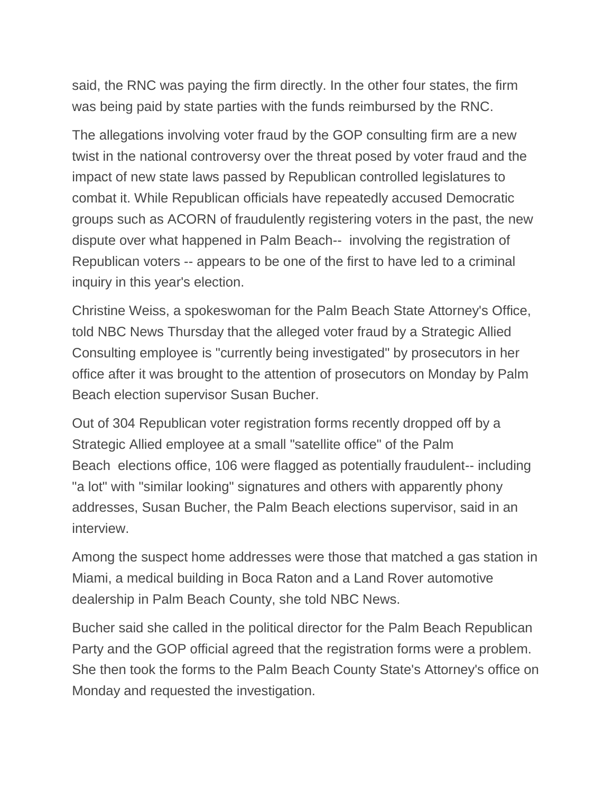said, the RNC was paying the firm directly. In the other four states, the firm was being paid by state parties with the funds reimbursed by the RNC.

The allegations involving voter fraud by the GOP consulting firm are a new twist in the national controversy over the threat posed by voter fraud and the impact of new state laws passed by Republican controlled legislatures to combat it. While Republican officials have repeatedly accused Democratic groups such as ACORN of fraudulently registering voters in the past, the new dispute over what happened in Palm Beach-- involving the registration of Republican voters -- appears to be one of the first to have led to a criminal inquiry in this year's election.

Christine Weiss, a spokeswoman for the Palm Beach State Attorney's Office, told NBC News Thursday that the alleged voter fraud by a Strategic Allied Consulting employee is "currently being investigated" by prosecutors in her office after it was brought to the attention of prosecutors on Monday by Palm Beach election supervisor Susan Bucher.

Out of 304 Republican voter registration forms recently dropped off by a Strategic Allied employee at a small "satellite office" of the Palm Beach elections office, 106 were flagged as potentially fraudulent-- including "a lot" with "similar looking" signatures and others with apparently phony addresses, Susan Bucher, the Palm Beach elections supervisor, said in an interview.

Among the suspect home addresses were those that matched a gas station in Miami, a medical building in Boca Raton and a Land Rover automotive dealership in Palm Beach County, she told NBC News.

Bucher said she called in the political director for the Palm Beach Republican Party and the GOP official agreed that the registration forms were a problem. She then took the forms to the Palm Beach County State's Attorney's office on Monday and requested the investigation.